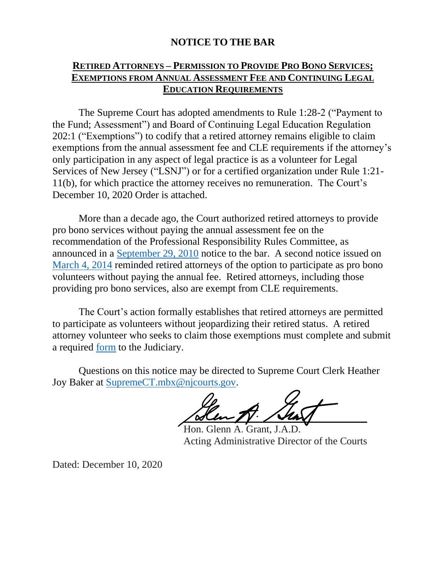## **NOTICE TO THE BAR**

## **RETIRED ATTORNEYS – PERMISSION TO PROVIDE PRO BONO SERVICES; EXEMPTIONS FROM ANNUAL ASSESSMENT FEE AND CONTINUING LEGAL EDUCATION REQUIREMENTS**

The Supreme Court has adopted amendments to Rule 1:28-2 ("Payment to the Fund; Assessment") and Board of Continuing Legal Education Regulation 202:1 ("Exemptions") to codify that a retired attorney remains eligible to claim exemptions from the annual assessment fee and CLE requirements if the attorney's only participation in any aspect of legal practice is as a volunteer for Legal Services of New Jersey ("LSNJ") or for a certified organization under Rule 1:21- 11(b), for which practice the attorney receives no remuneration. The Court's December 10, 2020 Order is attached.

More than a decade ago, the Court authorized retired attorneys to provide pro bono services without paying the annual assessment fee on the recommendation of the Professional Responsibility Rules Committee, as announced in a [September 29, 2010](https://www.njcourts.gov/notices/2010/n101004a.pdf) notice to the bar. A second notice issued on [March 4, 2014](https://www.njcourts.gov/notices/2014/n140307a.pdf?c=Re1) reminded retired attorneys of the option to participate as pro bono volunteers without paying the annual fee. Retired attorneys, including those providing pro bono services, also are exempt from CLE requirements.

The Court's action formally establishes that retired attorneys are permitted to participate as volunteers without jeopardizing their retired status. A retired attorney volunteer who seeks to claim those exemptions must complete and submit a required [form](https://www.njcourts.gov/forms/11621_cert_retire_lsv.pdf?c=90T) to the Judiciary.

Questions on this notice may be directed to Supreme Court Clerk Heather Joy Baker at [SupremeCT.mbx@njcourts.gov.](mailto:SupremeCT.mbx@njcourts.gov)

 $\sqrt{M_{\rm inv}N_{\rm inv}}$ 

Hon. Glenn A. Grant, J.A.D. Acting Administrative Director of the Courts

Dated: December 10, 2020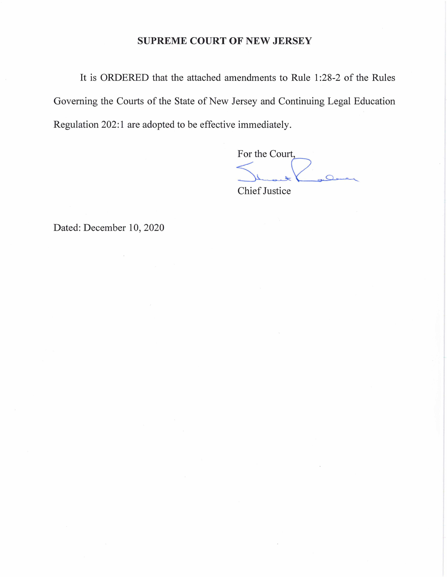#### **SUPREME COURT OF NEW JERSEY**

It is ORDERED that the attached amendments to Rule 1 :28-2 of the Rules Governing the Courts of the State of New Jersey and Continuing Legal Education Regulation 202:1 are adopted to be effective immediately.

s=(Z\---SSi'li>-9;;::;,,,.,,<-J----.-..\_\_

Chief Justice

Dated: December 10, 2020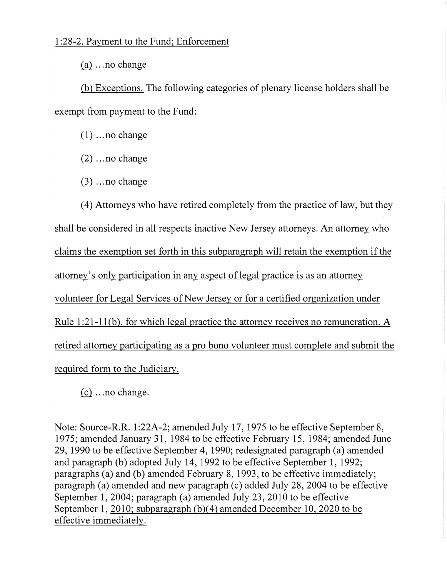### 1 :28-2. Payment to the Fund; Enforcement

 $(a)$  ... no change

(b) Exceptions. The following categories of plenary license holders shall be exempt from payment to the Fund:

 $(1)$  ... no change

 $(2)$  ... no change

 $(3)$  ... no change

( 4) Attorneys who have retired completely from the practice of law, but they shall be considered in all respects inactive New Jersey attorneys. An attorney who claims the exemption set forth in this subparagraph will retain the exemption if the attorney's only participation in any aspect of legal practice is as an attorney volunteer for Legal Services of New Jersey or for a certified organization under Rule  $1:21-11(b)$ , for which legal practice the attorney receives no remuneration. A retired attorney participating as a pro bono volunteer must complete and submit the required form to the Judiciary.

 $(c)$  ... no change.

Note: Source-R.R. 1:22A-2; amended July 17, 1975 to be effective September 8, 1975; amended January 31, 1984 to be effective February 15, 1984; amended June 29, 1990 to be effective September 4, 1990; redesignated paragraph (a) amended and paragraph (b) adopted July 14, 1992 to be effective September 1, 1992; paragraphs (a) and (b) amended February 8, 1993, to be effective immediately; paragraph (a) amended and new paragraph  $(c)$  added July 28, 2004 to be effective September 1, 2004; paragraph (a) amended July 23, 2010 to be effective September 1, 2010; subparagraph (b)(4) amended December 10, 2020 to be effective immediately.